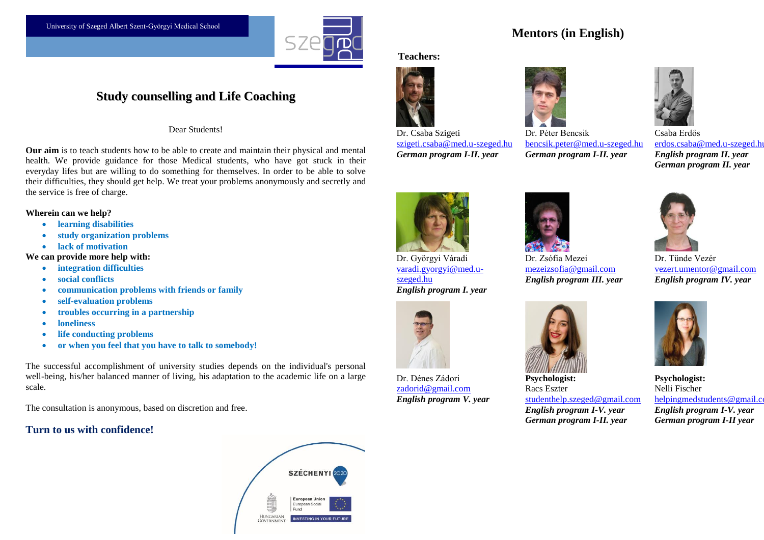

## **Study counselling and Life Coaching**

Dear Students!

**Our aim** is to teach students how to be able to create and maintain their physical and mental health. We provide guidance for those Medical students, who have got stuck in their everyday lifes but are willing to do something for themselves. In order to be able to solve their difficulties, they should get help. We treat your problems anonymously and secretly and the service is free of charge.

#### **Wherein can we help?**

- **learning disabilities**
- **study organization problems**
- **lack of motivation**

**We can provide more help with:** 

- **integration difficulties**
- **social conflicts**
- **communication problems with friends or family**
- **self-evaluation problems**
- **troubles occurring in a partnership**
- **loneliness**
- **life conducting problems**
- **or when you feel that you have to talk to somebody!**

The successful accomplishment of university studies depends on the individual's personal well-being, his/her balanced manner of living, his adaptation to the academic life on a large scale.

The consultation is anonymous, based on discretion and free.

## **Turn to us with confidence!**



# **Mentors (in English)**

### **Teachers:**







[szigeti.csaba@med.u-szeged.hu](mailto:szigeti.csaba@med.u-szeged.hu) *German program I-II. year* Dr. Péter Bencsik

[bencsik.peter@med.u-szeged.hu](mailto:bencsik.peter@med.u-szeged.hu) *German program I-II. year*



Csaba Erdős [erdos.csaba@med.u-szeged.hu](mailto:erdos.csaba@med.u-szeged.hu) *English program II. year German program II. year*



Dr. Györgyi Váradi [varadi.gyorgyi@med.u](mailto:varadi.gyorgyi@med.u-szeged.hu)[szeged.hu](mailto:varadi.gyorgyi@med.u-szeged.hu) *English program I. year*



Dr. Dénes Zádori [zadorid@gmail.com](mailto:zadorid@gmail.com) *English program V. year*



Dr. Zsófia Mezei [mezeizsofia@gmail.com](mailto:mezeizsofia@gmail.com) *English program III. year*

**Psychologist:** Racs Eszter studenthelp.szeged@gmail.com *English program I-V. year German program I-II. year*



Dr. Tünde Vezér [vezert.umentor@gmail.com](mailto:vezert.umentor@gmail.com) *English program IV. year*



**Psychologist:** Nelli Fischer [helpingmedstudents@gmail.com](mailto:helpingmedstudents@gmail.com) *English program I-V. year German program I-II year*